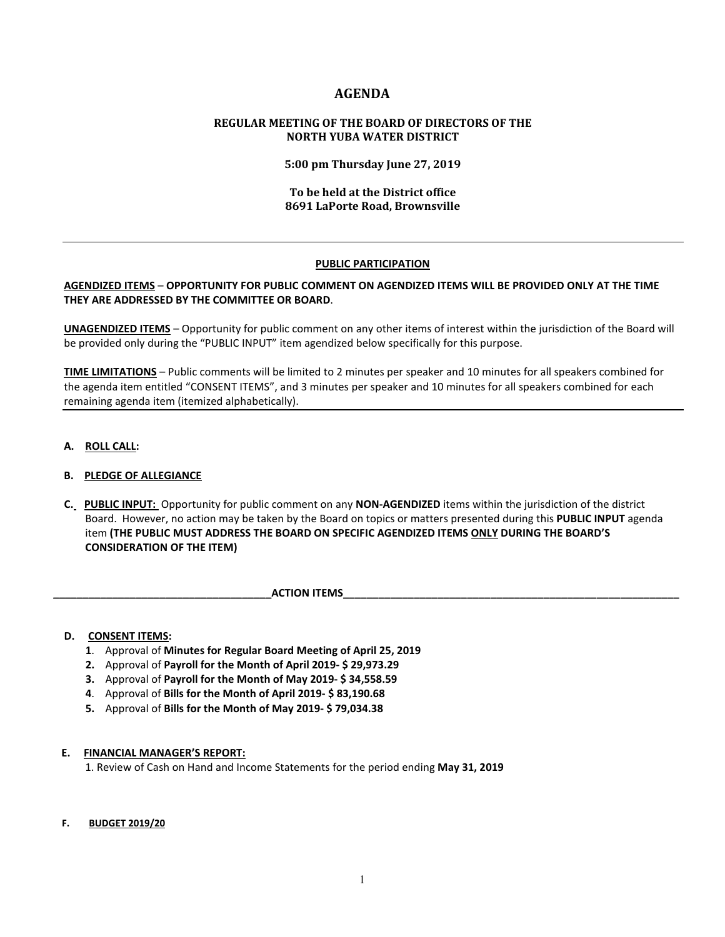# **AGENDA**

## **REGULAR MEETING OF THE BOARD OF DIRECTORS OF THE NORTH YUBA WATER DISTRICT**

**5:00 pm Thursday June 27, 2019**

### **To be held at the District office 8691 LaPorte Road, Brownsville**

## **PUBLIC PARTICIPATION**

## **AGENDIZED ITEMS** – **OPPORTUNITY FOR PUBLIC COMMENT ON AGENDIZED ITEMS WILL BE PROVIDED ONLY AT THE TIME THEY ARE ADDRESSED BY THE COMMITTEE OR BOARD**.

**UNAGENDIZED ITEMS** – Opportunity for public comment on any other items of interest within the jurisdiction of the Board will be provided only during the "PUBLIC INPUT" item agendized below specifically for this purpose.

**TIME LIMITATIONS** – Public comments will be limited to 2 minutes per speaker and 10 minutes for all speakers combined for the agenda item entitled "CONSENT ITEMS", and 3 minutes per speaker and 10 minutes for all speakers combined for each remaining agenda item (itemized alphabetically).

**A. ROLL CALL:** 

## **B. PLEDGE OF ALLEGIANCE**

 **C. PUBLIC INPUT:** Opportunity for public comment on any **NON-AGENDIZED** items within the jurisdiction of the district Board. However, no action may be taken by the Board on topics or matters presented during this **PUBLIC INPUT** agenda item **(THE PUBLIC MUST ADDRESS THE BOARD ON SPECIFIC AGENDIZED ITEMS ONLY DURING THE BOARD'S CONSIDERATION OF THE ITEM)**

**ACTION ITEMS** 

#### **D. CONSENT ITEMS:**

- **1**. Approval of **Minutes for Regular Board Meeting of April 25, 2019**
- **2.** Approval of **Payroll for the Month of April 2019- \$ 29,973.29**
- **3.** Approval of **Payroll for the Month of May 2019- \$ 34,558.59**
- **4**. Approval of **Bills for the Month of April 2019- \$ 83,190.68**
- **5.** Approval of **Bills for the Month of May 2019- \$ 79,034.38**

#### **E. FINANCIAL MANAGER'S REPORT:**

1. Review of Cash on Hand and Income Statements for the period ending **May 31, 2019**

#### **F. BUDGET 2019/20**